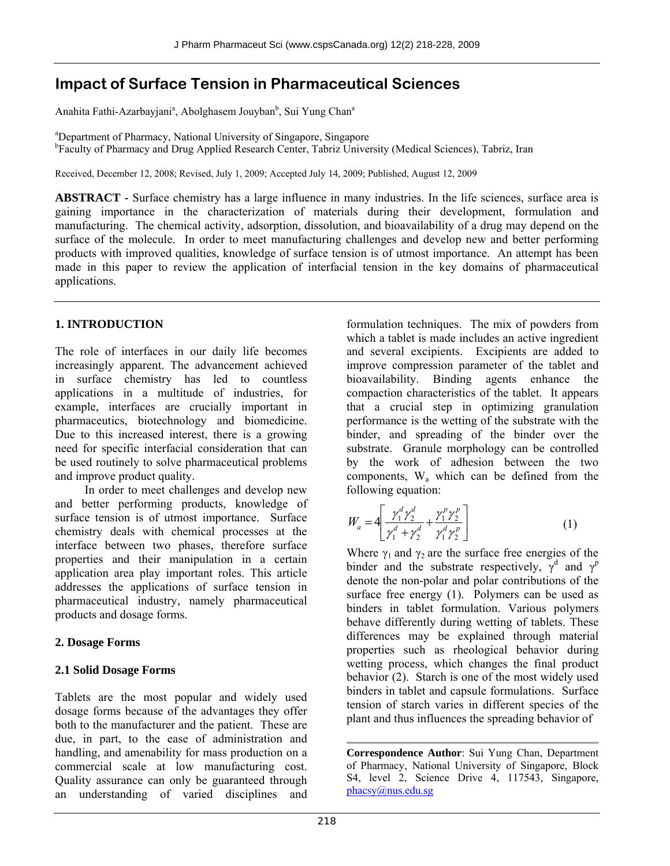# **Impact of Surface Tension in Pharmaceutical Sciences**

Anahita Fathi-Azarbayjani<sup>a</sup>, Abolghasem Jouyban<sup>b</sup>, Sui Yung Chan<sup>a</sup>

a Department of Pharmacy, National University of Singapore, Singapore <sup>b</sup>Faculty of Pharmacy and Drug Applied Research Center, Tabriz University (Medical Sciences), Tabriz, Iran

Received, December 12, 2008; Revised, July 1, 2009; Accepted July 14, 2009; Published, August 12, 2009

**ABSTRACT -** Surface chemistry has a large influence in many industries. In the life sciences, surface area is gaining importance in the characterization of materials during their development, formulation and manufacturing. The chemical activity, adsorption, dissolution, and bioavailability of a drug may depend on the surface of the molecule. In order to meet manufacturing challenges and develop new and better performing products with improved qualities, knowledge of surface tension is of utmost importance. An attempt has been made in this paper to review the application of interfacial tension in the key domains of pharmaceutical applications.

#### **1. INTRODUCTION**

The role of interfaces in our daily life becomes increasingly apparent. The advancement achieved in surface chemistry has led to countless applications in a multitude of industries, for example, interfaces are crucially important in pharmaceutics, biotechnology and biomedicine. Due to this increased interest, there is a growing need for specific interfacial consideration that can be used routinely to solve pharmaceutical problems and improve product quality.

 In order to meet challenges and develop new and better performing products, knowledge of surface tension is of utmost importance. Surface chemistry deals with chemical processes at the interface between two phases, therefore surface properties and their manipulation in a certain application area play important roles. This article addresses the applications of surface tension in pharmaceutical industry, namely pharmaceutical products and dosage forms.

#### **2. Dosage Forms**

#### **2.1 Solid Dosage Forms**

Tablets are the most popular and widely used dosage forms because of the advantages they offer both to the manufacturer and the patient. These are due, in part, to the ease of administration and handling, and amenability for mass production on a commercial scale at low manufacturing cost. Quality assurance can only be guaranteed through an understanding of varied disciplines and

formulation techniques. The mix of powders from which a tablet is made includes an active ingredient and several excipients. Excipients are added to improve compression parameter of the tablet and bioavailability. Binding agents enhance the compaction characteristics of the tablet. It appears that a crucial step in optimizing granulation performance is the wetting of the substrate with the binder, and spreading of the binder over the substrate. Granule morphology can be controlled by the work of adhesion between the two components,  $W_a$  which can be defined from the following equation:

$$
W_a = 4 \left[ \frac{\gamma_1^d \gamma_2^d}{\gamma_1^d + \gamma_2^d} + \frac{\gamma_1^p \gamma_2^p}{\gamma_1^d \gamma_2^p} \right] \tag{1}
$$

Where  $\gamma_1$  and  $\gamma_2$  are the surface free energies of the binder and the substrate respectively,  $\gamma^d$  and  $\gamma^p$ denote the non-polar and polar contributions of the surface free energy (1). Polymers can be used as binders in tablet formulation. Various polymers behave differently during wetting of tablets. These differences may be explained through material properties such as rheological behavior during wetting process, which changes the final product behavior (2). Starch is one of the most widely used binders in tablet and capsule formulations. Surface tension of starch varies in different species of the plant and thus influences the spreading behavior of

**Correspondence Author**: Sui Yung Chan, Department of Pharmacy, National University of Singapore, Block S4, level 2, Science Drive 4, 117543, Singapore, phacsy@nus.edu.sg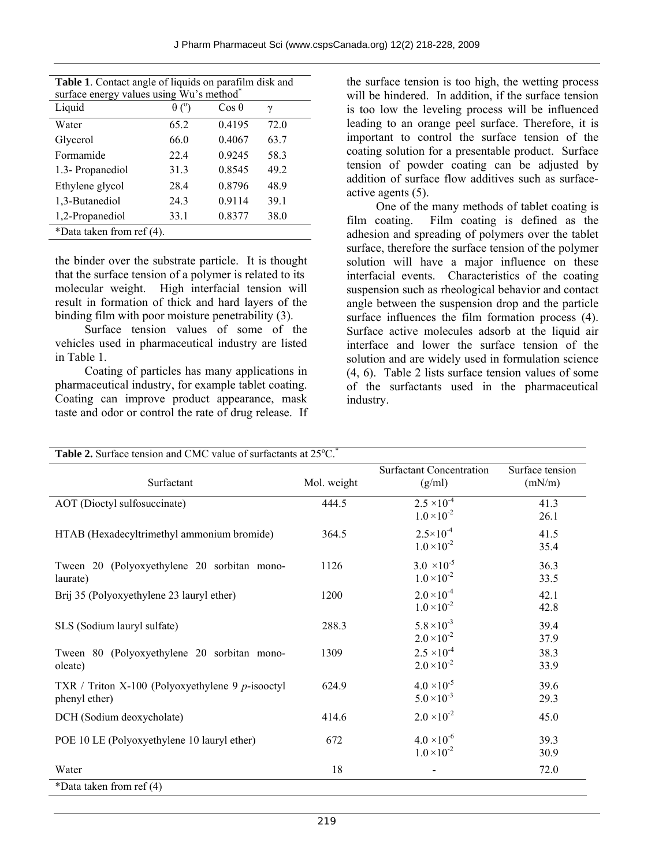| Tuble 1. Commet angle of he area on paramini and and<br>surface energy values using Wu's method <sup>*</sup> |                         |               |      |
|--------------------------------------------------------------------------------------------------------------|-------------------------|---------------|------|
| Liquid                                                                                                       | $\theta$ ( $^{\circ}$ ) | $\cos \theta$ | γ    |
| Water                                                                                                        | 65.2                    | 0.4195        | 72.0 |
| Glycerol                                                                                                     | 66.0                    | 0.4067        | 63.7 |
| Formamide                                                                                                    | 22.4                    | 0.9245        | 58.3 |
| 1.3- Propanediol                                                                                             | 31.3                    | 0.8545        | 49.2 |
| Ethylene glycol                                                                                              | 28.4                    | 0.8796        | 48.9 |
| 1,3-Butanediol                                                                                               | 24.3                    | 0.9114        | 39.1 |
| 1,2-Propanediol                                                                                              | 33.1                    | 0.8377        | 38.0 |
| *Data taken from ref (4).                                                                                    |                         |               |      |
|                                                                                                              |                         |               |      |

| <b>Table 1.</b> Contact angle of liquids on parafilm disk and |  |
|---------------------------------------------------------------|--|
| surface energy values using Wu's method <sup>*</sup>          |  |

the binder over the substrate particle. It is thought that the surface tension of a polymer is related to its molecular weight. High interfacial tension will result in formation of thick and hard layers of the binding film with poor moisture penetrability (3).

 Surface tension values of some of the vehicles used in pharmaceutical industry are listed in Table 1.

 Coating of particles has many applications in pharmaceutical industry, for example tablet coating. Coating can improve product appearance, mask taste and odor or control the rate of drug release. If the surface tension is too high, the wetting process will be hindered. In addition, if the surface tension is too low the leveling process will be influenced leading to an orange peel surface. Therefore, it is important to control the surface tension of the coating solution for a presentable product. Surface tension of powder coating can be adjusted by addition of surface flow additives such as surfaceactive agents (5).

 One of the many methods of tablet coating is film coating. Film coating is defined as the adhesion and spreading of polymers over the tablet surface, therefore the surface tension of the polymer solution will have a major influence on these interfacial events. Characteristics of the coating suspension such as rheological behavior and contact angle between the suspension drop and the particle surface influences the film formation process (4). Surface active molecules adsorb at the liquid air interface and lower the surface tension of the solution and are widely used in formulation science (4, 6). Table 2 lists surface tension values of some of the surfactants used in the pharmaceutical industry.

| Table 2. Surface tension and CMC value of surfactants at 25°C. <sup>*</sup> |             |                                              |                           |  |
|-----------------------------------------------------------------------------|-------------|----------------------------------------------|---------------------------|--|
| Surfactant                                                                  | Mol. weight | <b>Surfactant Concentration</b><br>(g/ml)    | Surface tension<br>(mN/m) |  |
| AOT (Dioctyl sulfosuccinate)                                                | 444.5       | $2.5 \times 10^{-4}$<br>$1.0 \times 10^{-2}$ | 41.3<br>26.1              |  |
| HTAB (Hexadecyltrimethyl ammonium bromide)                                  | 364.5       | $2.5 \times 10^{-4}$<br>$1.0 \times 10^{-2}$ | 41.5<br>35.4              |  |
| Tween 20 (Polyoxyethylene 20 sorbitan mono-<br>laurate)                     | 1126        | $3.0 \times 10^{-5}$<br>$1.0 \times 10^{-2}$ | 36.3<br>33.5              |  |
| Brij 35 (Polyoxyethylene 23 lauryl ether)                                   | 1200        | $2.0 \times 10^{-4}$<br>$1.0 \times 10^{-2}$ | 42.1<br>42.8              |  |
| SLS (Sodium lauryl sulfate)                                                 | 288.3       | $5.8 \times 10^{-3}$<br>$2.0 \times 10^{-2}$ | 39.4<br>37.9              |  |
| Tween 80 (Polyoxyethylene 20 sorbitan mono-<br>oleate)                      | 1309        | $2.5 \times 10^{-4}$<br>$2.0 \times 10^{-2}$ | 38.3<br>33.9              |  |
| TXR / Triton X-100 (Polyoxyethylene 9 $p$ -isooctyl<br>phenyl ether)        | 624.9       | $4.0 \times 10^{-5}$<br>$5.0 \times 10^{-3}$ | 39.6<br>29.3              |  |
| DCH (Sodium deoxycholate)                                                   | 414.6       | $2.0 \times 10^{-2}$                         | 45.0                      |  |
| POE 10 LE (Polyoxyethylene 10 lauryl ether)                                 | 672         | $4.0 \times 10^{-6}$<br>$1.0 \times 10^{-2}$ | 39.3<br>30.9              |  |
| Water                                                                       | 18          |                                              | 72.0                      |  |
| *Data taken from ref $(4)$                                                  |             |                                              |                           |  |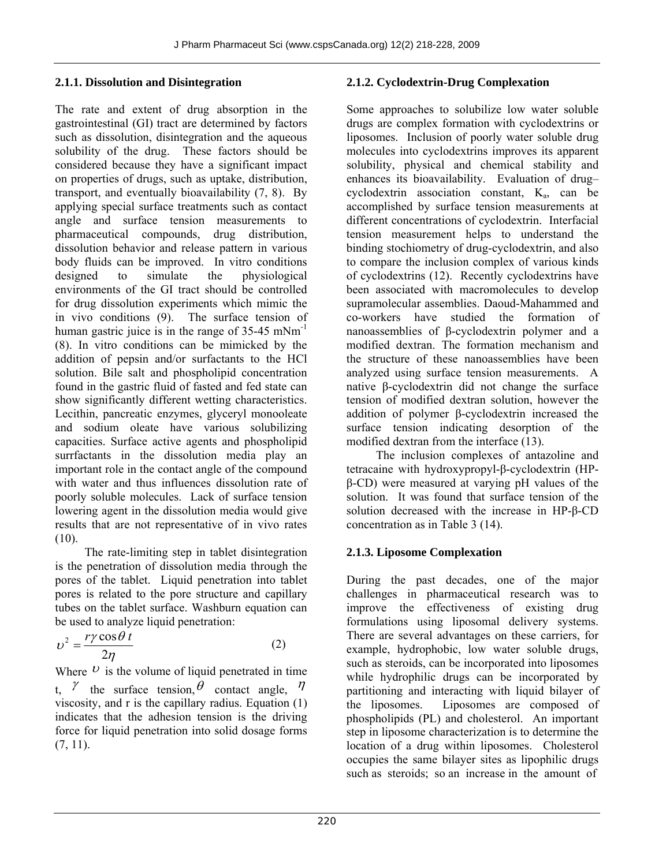#### **2.1.1. Dissolution and Disintegration**

The rate and extent of drug absorption in the gastrointestinal (GI) tract are determined by factors such as dissolution, disintegration and the aqueous solubility of the drug. These factors should be considered because they have a significant impact on properties of drugs, such as uptake, distribution, transport, and eventually bioavailability (7, 8). By applying special surface treatments such as contact angle and surface tension measurements to pharmaceutical compounds, drug distribution, dissolution behavior and release pattern in various body fluids can be improved. In vitro conditions designed to simulate the physiological environments of the GI tract should be controlled for drug dissolution experiments which mimic the in vivo conditions (9). The surface tension of human gastric juice is in the range of 35-45 mNm<sup>-1</sup> (8). In vitro conditions can be mimicked by the addition of pepsin and/or surfactants to the HCl solution. Bile salt and phospholipid concentration found in the gastric fluid of fasted and fed state can show significantly different wetting characteristics. Lecithin, pancreatic enzymes, glyceryl monooleate and sodium oleate have various solubilizing capacities. Surface active agents and phospholipid surrfactants in the dissolution media play an important role in the contact angle of the compound with water and thus influences dissolution rate of poorly soluble molecules. Lack of surface tension lowering agent in the dissolution media would give results that are not representative of in vivo rates  $(10).$ 

 The rate-limiting step in tablet disintegration is the penetration of dissolution media through the pores of the tablet. Liquid penetration into tablet pores is related to the pore structure and capillary tubes on the tablet surface. Washburn equation can be used to analyze liquid penetration:

$$
\upsilon^2 = \frac{r\gamma \cos \theta \, t}{2\eta} \tag{2}
$$

Where  $U$  is the volume of liquid penetrated in time t,  $\gamma$  the surface tension,  $\theta$  contact angle,  $\eta$ viscosity, and r is the capillary radius. Equation (1) indicates that the adhesion tension is the driving force for liquid penetration into solid dosage forms  $(7, 11)$ .

#### **2.1.2. Cyclodextrin-Drug Complexation**

Some approaches to solubilize low water soluble drugs are complex formation with cyclodextrins or liposomes. Inclusion of poorly water soluble drug molecules into cyclodextrins improves its apparent solubility, physical and chemical stability and enhances its bioavailability. Evaluation of drug– cyclodextrin association constant,  $K_a$ , can be accomplished by surface tension measurements at different concentrations of cyclodextrin. Interfacial tension measurement helps to understand the binding stochiometry of drug-cyclodextrin, and also to compare the inclusion complex of various kinds of cyclodextrins (12). Recently cyclodextrins have been associated with macromolecules to develop supramolecular assemblies. Daoud-Mahammed and co-workers have studied the formation of nanoassemblies of β-cyclodextrin polymer and a modified dextran. The formation mechanism and the structure of these nanoassemblies have been analyzed using surface tension measurements. A native β-cyclodextrin did not change the surface tension of modified dextran solution, however the addition of polymer β-cyclodextrin increased the surface tension indicating desorption of the modified dextran from the interface (13).

 The inclusion complexes of antazoline and tetracaine with hydroxypropyl-β-cyclodextrin (HPβ-CD) were measured at varying pH values of the solution. It was found that surface tension of the solution decreased with the increase in HP-β-CD concentration as in Table 3 (14).

### **2.1.3. Liposome Complexation**

During the past decades, one of the major challenges in pharmaceutical research was to improve the effectiveness of existing drug formulations using liposomal delivery systems. There are several advantages on these carriers, for example, hydrophobic, low water soluble drugs, such as steroids, can be incorporated into liposomes while hydrophilic drugs can be incorporated by partitioning and interacting with liquid bilayer of the liposomes. Liposomes are composed of phospholipids (PL) and cholesterol. An important step in liposome characterization is to determine the location of a drug within liposomes. Cholesterol occupies the same bilayer sites as lipophilic drugs such as steroids; so an increase in the amount of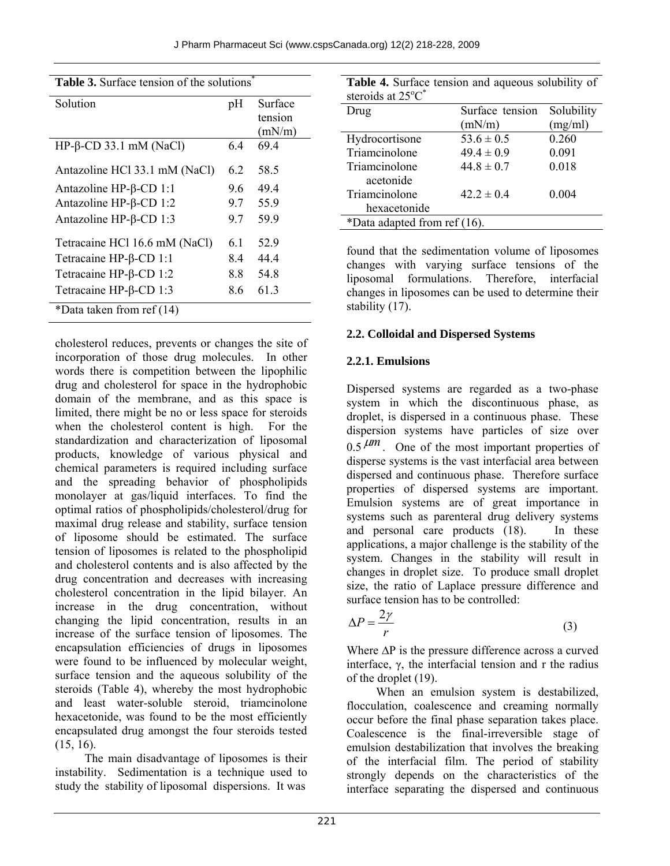|  | J Pharm Pharmaceut Sci (www.cspsCanada.org) 12(2) 218-228, 2009 |  |
|--|-----------------------------------------------------------------|--|
|--|-----------------------------------------------------------------|--|

| <b>Table 3.</b> Surface tension of the solutions |     |         |
|--------------------------------------------------|-----|---------|
| Solution                                         | pH  | Surface |
|                                                  |     | tension |
|                                                  |     | (mN/m)  |
| HP-β-CD 33.1 mM (NaCl)                           | 64  | 69.4    |
| Antazoline HCl 33.1 mM (NaCl)                    | 6.2 | 58.5    |
| Antazoline HP-β-CD 1:1                           | 9.6 | 49.4    |
| Antazoline HP-β-CD 1:2                           | 9.7 | 55.9    |
| Antazoline HP- $\beta$ -CD 1:3                   | 9.7 | 59.9    |
| Tetracaine HCl 16.6 mM (NaCl)                    | 61  | 52.9    |
| Tetracaine HP- $\beta$ -CD 1:1                   | 8.4 | 44.4    |
| Tetracaine HP- $\beta$ -CD 1:2                   | 8.8 | 54.8    |
| Tetracaine HP- $\beta$ -CD 1:3                   | 8.6 | 61.3    |
| *Data taken from ref $(14)$                      |     |         |

cholesterol reduces, prevents or changes the site of incorporation of those drug molecules. In other words there is competition between the lipophilic drug and cholesterol for space in the hydrophobic domain of the membrane, and as this space is limited, there might be no or less space for steroids when the cholesterol content is high. For the standardization and characterization of liposomal products, knowledge of various physical and chemical parameters is required including surface and the spreading behavior of phospholipids monolayer at gas/liquid interfaces. To find the optimal ratios of phospholipids/cholesterol/drug for maximal drug release and stability, surface tension of liposome should be estimated. The surface tension of liposomes is related to the phospholipid and cholesterol contents and is also affected by the drug concentration and decreases with increasing cholesterol concentration in the lipid bilayer. An increase in the drug concentration, without changing the lipid concentration, results in an increase of the surface tension of liposomes. The encapsulation efficiencies of drugs in liposomes were found to be influenced by molecular weight, surface tension and the aqueous solubility of the steroids (Table 4), whereby the most hydrophobic and least water-soluble steroid, triamcinolone hexacetonide, was found to be the most efficiently encapsulated drug amongst the four steroids tested  $(15, 16)$ .

 The main disadvantage of liposomes is their instability. Sedimentation is a technique used to study the stability of liposomal dispersions. It was

**Table 4.** Surface tension and aqueous solubility of steroids at  $25^{\circ}C^*$ 

| Drug                         | Surface tension | Solubility |
|------------------------------|-----------------|------------|
|                              | (mN/m)          | (mg/ml)    |
| Hydrocortisone               | $53.6 \pm 0.5$  | 0.260      |
| Triamcinolone                | $49.4 \pm 0.9$  | 0.091      |
| Triamcinolone                | $44.8 \pm 0.7$  | 0.018      |
| acetonide                    |                 |            |
| Triamcinolone                | $42.2 \pm 0.4$  | 0.004      |
| hexacetonide                 |                 |            |
| *Data adapted from ref (16). |                 |            |
|                              |                 |            |

found that the sedimentation volume of liposomes changes with varying surface tensions of the liposomal formulations. Therefore, interfacial changes in liposomes can be used to determine their stability (17).

#### **2.2. Colloidal and Dispersed Systems**

#### **2.2.1. Emulsions**

Dispersed systems are regarded as a two-phase system in which the discontinuous phase, as droplet, is dispersed in a continuous phase. These dispersion systems have particles of size over  $0.5 \mu m$ . One of the most important properties of disperse systems is the vast interfacial area between dispersed and continuous phase. Therefore surface properties of dispersed systems are important. Emulsion systems are of great importance in systems such as parenteral drug delivery systems and personal care products (18). In these applications, a major challenge is the stability of the system. Changes in the stability will result in changes in droplet size. To produce small droplet size, the ratio of Laplace pressure difference and surface tension has to be controlled:

$$
\Delta P = \frac{2\gamma}{r} \tag{3}
$$

Where ∆P is the pressure difference across a curved interface, γ, the interfacial tension and r the radius of the droplet (19).

 When an emulsion system is destabilized, flocculation, coalescence and creaming normally occur before the final phase separation takes place. Coalescence is the final-irreversible stage of emulsion destabilization that involves the breaking of the interfacial film. The period of stability strongly depends on the characteristics of the interface separating the dispersed and continuous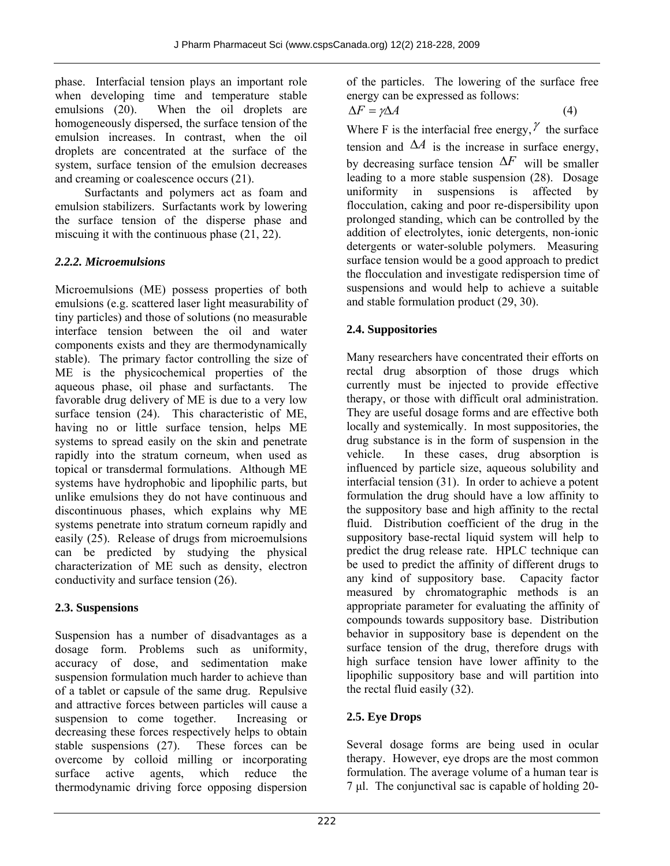phase. Interfacial tension plays an important role when developing time and temperature stable emulsions (20). When the oil droplets are homogeneously dispersed, the surface tension of the emulsion increases. In contrast, when the oil droplets are concentrated at the surface of the system, surface tension of the emulsion decreases and creaming or coalescence occurs (21).

 Surfactants and polymers act as foam and emulsion stabilizers. Surfactants work by lowering the surface tension of the disperse phase and miscuing it with the continuous phase (21, 22).

## *2.2.2. Microemulsions*

Microemulsions (ME) possess properties of both emulsions (e.g. scattered laser light measurability of tiny particles) and those of solutions (no measurable interface tension between the oil and water components exists and they are thermodynamically stable). The primary factor controlling the size of ME is the physicochemical properties of the aqueous phase, oil phase and surfactants. The favorable drug delivery of ME is due to a very low surface tension (24). This characteristic of ME, having no or little surface tension, helps ME systems to spread easily on the skin and penetrate rapidly into the stratum corneum, when used as topical or transdermal formulations. Although ME systems have hydrophobic and lipophilic parts, but unlike emulsions they do not have continuous and discontinuous phases, which explains why ME systems penetrate into stratum corneum rapidly and easily (25). Release of drugs from microemulsions can be predicted by studying the physical characterization of ME such as density, electron conductivity and surface tension (26).

## **2.3. Suspensions**

Suspension has a number of disadvantages as a dosage form. Problems such as uniformity, accuracy of dose, and sedimentation make suspension formulation much harder to achieve than of a tablet or capsule of the same drug. Repulsive and attractive forces between particles will cause a suspension to come together. Increasing or decreasing these forces respectively helps to obtain stable suspensions (27). These forces can be overcome by colloid milling or incorporating surface active agents, which reduce the thermodynamic driving force opposing dispersion

of the particles. The lowering of the surface free energy can be expressed as follows:

$$
\Delta F = \gamma \Delta A \tag{4}
$$

Where F is the interfacial free energy,  $\gamma$  the surface tension and  $\Delta A$  is the increase in surface energy, by decreasing surface tension  $\Delta F$  will be smaller leading to a more stable suspension (28). Dosage uniformity in suspensions is affected by flocculation, caking and poor re-dispersibility upon prolonged standing, which can be controlled by the addition of electrolytes, ionic detergents, non-ionic detergents or water-soluble polymers. Measuring surface tension would be a good approach to predict the flocculation and investigate redispersion time of suspensions and would help to achieve a suitable and stable formulation product (29, 30).

## **2.4. Suppositories**

Many researchers have concentrated their efforts on rectal drug absorption of those drugs which currently must be injected to provide effective therapy, or those with difficult oral administration. They are useful dosage forms and are effective both locally and systemically. In most suppositories, the drug substance is in the form of suspension in the vehicle. In these cases, drug absorption is influenced by particle size, aqueous solubility and interfacial tension (31). In order to achieve a potent formulation the drug should have a low affinity to the suppository base and high affinity to the rectal fluid. Distribution coefficient of the drug in the suppository base-rectal liquid system will help to predict the drug release rate. HPLC technique can be used to predict the affinity of different drugs to any kind of suppository base. Capacity factor measured by chromatographic methods is an appropriate parameter for evaluating the affinity of compounds towards suppository base. Distribution behavior in suppository base is dependent on the surface tension of the drug, therefore drugs with high surface tension have lower affinity to the lipophilic suppository base and will partition into the rectal fluid easily (32).

## **2.5. Eye Drops**

Several dosage forms are being used in ocular therapy. However, eye drops are the most common formulation. The average volume of a human tear is 7 μl. The conjunctival sac is capable of holding 20-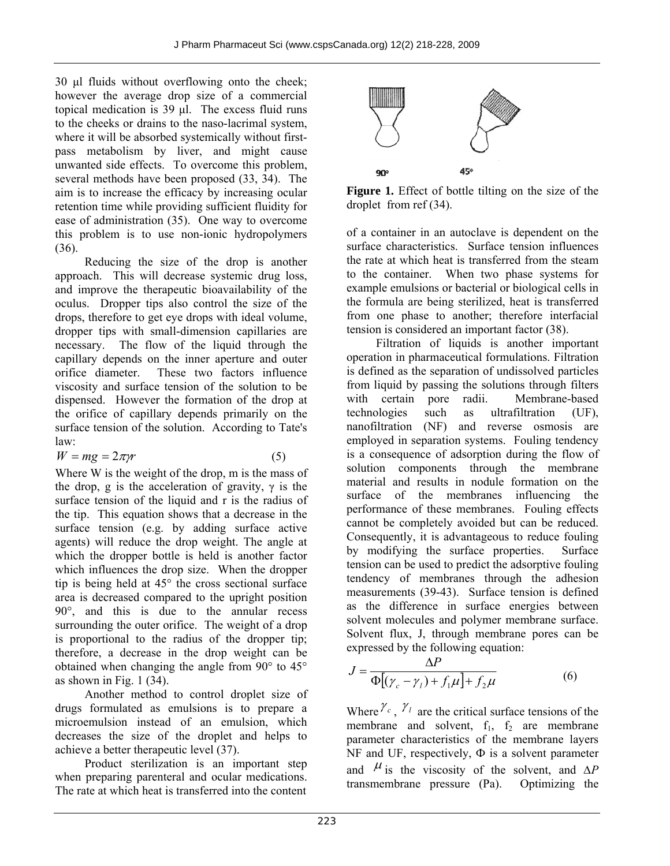30 μl fluids without overflowing onto the cheek; however the average drop size of a commercial topical medication is 39 μl. The excess fluid runs to the cheeks or drains to the naso-lacrimal system, where it will be absorbed systemically without firstpass metabolism by liver, and might cause unwanted side effects. To overcome this problem, several methods have been proposed (33, 34). The aim is to increase the efficacy by increasing ocular retention time while providing sufficient fluidity for ease of administration (35). One way to overcome this problem is to use non-ionic hydropolymers (36).

 Reducing the size of the drop is another approach. This will decrease systemic drug loss, and improve the therapeutic bioavailability of the oculus. Dropper tips also control the size of the drops, therefore to get eye drops with ideal volume, dropper tips with small-dimension capillaries are necessary. The flow of the liquid through the capillary depends on the inner aperture and outer orifice diameter. These two factors influence viscosity and surface tension of the solution to be dispensed. However the formation of the drop at the orifice of capillary depends primarily on the surface tension of the solution. According to Tate's law:

$$
W = mg = 2\pi\gamma r \tag{5}
$$

Where W is the weight of the drop, m is the mass of the drop, g is the acceleration of gravity,  $\gamma$  is the surface tension of the liquid and r is the radius of the tip. This equation shows that a decrease in the surface tension (e.g. by adding surface active agents) will reduce the drop weight. The angle at which the dropper bottle is held is another factor which influences the drop size. When the dropper tip is being held at 45° the cross sectional surface area is decreased compared to the upright position 90°, and this is due to the annular recess surrounding the outer orifice. The weight of a drop is proportional to the radius of the dropper tip; therefore, a decrease in the drop weight can be obtained when changing the angle from 90° to 45° as shown in Fig. 1 (34).

 Another method to control droplet size of drugs formulated as emulsions is to prepare a microemulsion instead of an emulsion, which decreases the size of the droplet and helps to achieve a better therapeutic level (37).

 Product sterilization is an important step when preparing parenteral and ocular medications. The rate at which heat is transferred into the content



**Figure 1.** Effect of bottle tilting on the size of the droplet from ref (34).

of a container in an autoclave is dependent on the surface characteristics. Surface tension influences the rate at which heat is transferred from the steam to the container. When two phase systems for example emulsions or bacterial or biological cells in the formula are being sterilized, heat is transferred from one phase to another; therefore interfacial tension is considered an important factor (38).

 Filtration of liquids is another important operation in pharmaceutical formulations. Filtration is defined as the separation of undissolved particles from liquid by passing the solutions through filters with certain pore radii. Membrane-based technologies such as ultrafiltration (UF), nanofiltration (NF) and reverse osmosis are employed in separation systems. Fouling tendency is a consequence of adsorption during the flow of solution components through the membrane material and results in nodule formation on the surface of the membranes influencing the performance of these membranes. Fouling effects cannot be completely avoided but can be reduced. Consequently, it is advantageous to reduce fouling by modifying the surface properties. Surface tension can be used to predict the adsorptive fouling tendency of membranes through the adhesion measurements (39-43). Surface tension is defined as the difference in surface energies between solvent molecules and polymer membrane surface. Solvent flux, J, through membrane pores can be expressed by the following equation:

$$
J = \frac{\Delta P}{\Phi[(\gamma_c - \gamma_l) + f_1 \mu] + f_2 \mu}
$$
 (6)

Where  $\chi_c$ ,  $\chi_l$  are the critical surface tensions of the membrane and solvent,  $f_1$ ,  $f_2$  are membrane parameter characteristics of the membrane layers  $NF$  and UF, respectively,  $\Phi$  is a solvent parameter and  $\mu$  is the viscosity of the solvent, and  $\Delta P$ transmembrane pressure (Pa). Optimizing the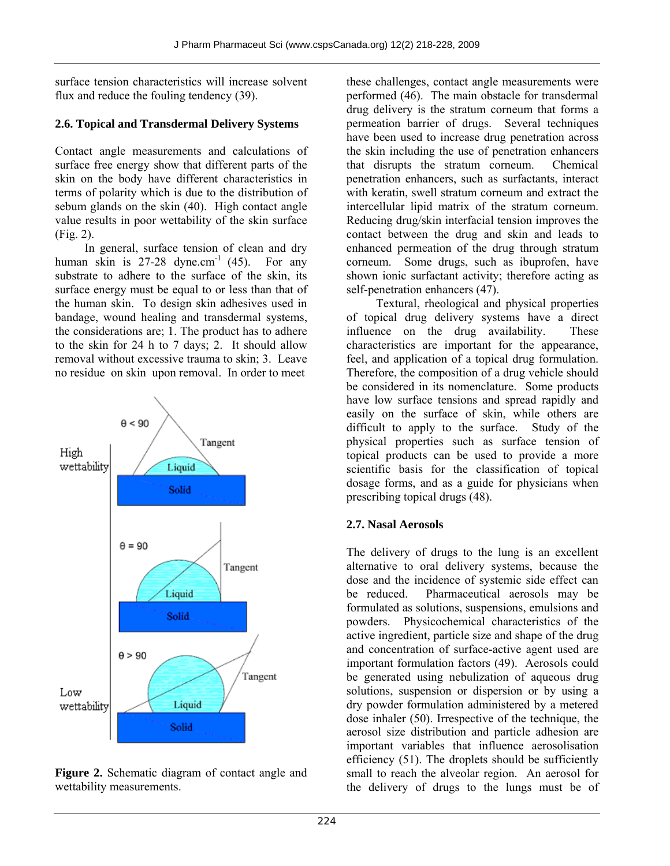surface tension characteristics will increase solvent flux and reduce the fouling tendency (39).

### **2.6. Topical and Transdermal Delivery Systems**

Contact angle measurements and calculations of surface free energy show that different parts of the skin on the body have different characteristics in terms of polarity which is due to the distribution of sebum glands on the skin (40). High contact angle value results in poor wettability of the skin surface (Fig. 2).

 In general, surface tension of clean and dry human skin is  $27-28$  dyne.cm<sup>-1</sup> (45). For any substrate to adhere to the surface of the skin, its surface energy must be equal to or less than that of the human skin. To design skin adhesives used in bandage, wound healing and transdermal systems, the considerations are; 1. The product has to adhere to the skin for 24 h to 7 days; 2. It should allow removal without excessive trauma to skin; 3. Leave no residue on skin upon removal. In order to meet



**Figure 2.** Schematic diagram of contact angle and wettability measurements.

these challenges, contact angle measurements were performed (46). The main obstacle for transdermal drug delivery is the stratum corneum that forms a permeation barrier of drugs. Several techniques have been used to increase drug penetration across the skin including the use of penetration enhancers that disrupts the stratum corneum. Chemical penetration enhancers, such as surfactants, interact with keratin, swell stratum corneum and extract the intercellular lipid matrix of the stratum corneum. Reducing drug/skin interfacial tension improves the contact between the drug and skin and leads to enhanced permeation of the drug through stratum corneum. Some drugs, such as ibuprofen, have shown ionic surfactant activity; therefore acting as self-penetration enhancers (47).

 Textural, rheological and physical properties of topical drug delivery systems have a direct influence on the drug availability. These characteristics are important for the appearance, feel, and application of a topical drug formulation. Therefore, the composition of a drug vehicle should be considered in its nomenclature. Some products have low surface tensions and spread rapidly and easily on the surface of skin, while others are difficult to apply to the surface. Study of the physical properties such as surface tension of topical products can be used to provide a more scientific basis for the classification of topical dosage forms, and as a guide for physicians when prescribing topical drugs (48).

## **2.7. Nasal Aerosols**

The delivery of drugs to the lung is an excellent alternative to oral delivery systems, because the dose and the incidence of systemic side effect can be reduced. Pharmaceutical aerosols may be formulated as solutions, suspensions, emulsions and powders. Physicochemical characteristics of the active ingredient, particle size and shape of the drug and concentration of surface-active agent used are important formulation factors (49). Aerosols could be generated using nebulization of aqueous drug solutions, suspension or dispersion or by using a dry powder formulation administered by a metered dose inhaler (50). Irrespective of the technique, the aerosol size distribution and particle adhesion are important variables that influence aerosolisation efficiency (51). The droplets should be sufficiently small to reach the alveolar region. An aerosol for the delivery of drugs to the lungs must be of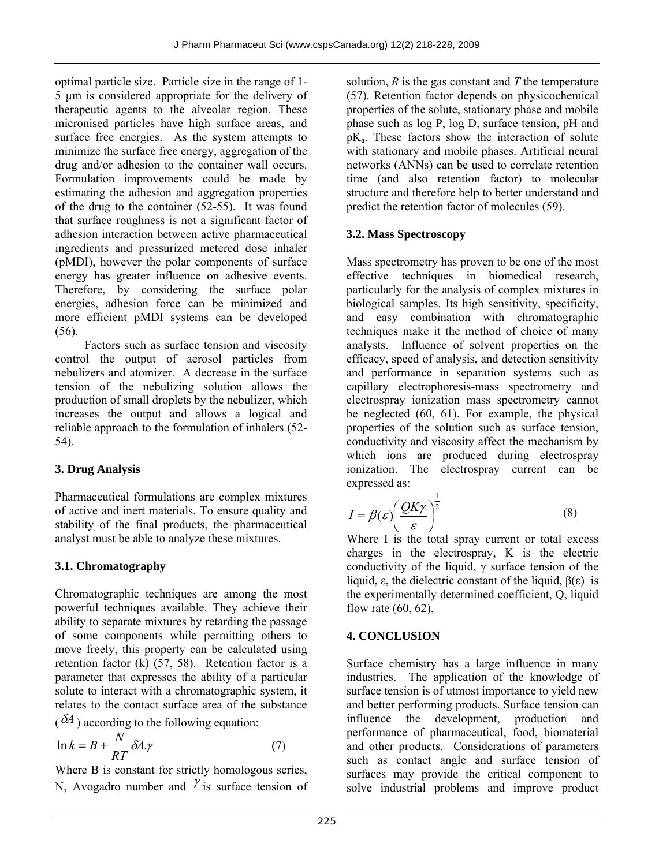optimal particle size. Particle size in the range of 1- 5 μm is considered appropriate for the delivery of therapeutic agents to the alveolar region. These micronised particles have high surface areas, and surface free energies. As the system attempts to minimize the surface free energy, aggregation of the drug and/or adhesion to the container wall occurs. Formulation improvements could be made by estimating the adhesion and aggregation properties of the drug to the container (52-55). It was found that surface roughness is not a significant factor of adhesion interaction between active pharmaceutical ingredients and pressurized metered dose inhaler (pMDI), however the polar components of surface energy has greater influence on adhesive events. Therefore, by considering the surface polar energies, adhesion force can be minimized and more efficient pMDI systems can be developed (56).

 Factors such as surface tension and viscosity control the output of aerosol particles from nebulizers and atomizer. A decrease in the surface tension of the nebulizing solution allows the production of small droplets by the nebulizer, which increases the output and allows a logical and reliable approach to the formulation of inhalers (52- 54).

# **3. Drug Analysis**

Pharmaceutical formulations are complex mixtures of active and inert materials. To ensure quality and stability of the final products, the pharmaceutical analyst must be able to analyze these mixtures.

# **3.1. Chromatography**

Chromatographic techniques are among the most powerful techniques available. They achieve their ability to separate mixtures by retarding the passage of some components while permitting others to move freely, this property can be calculated using retention factor (k) (57, 58). Retention factor is a parameter that expresses the ability of a particular solute to interact with a chromatographic system, it relates to the contact surface area of the substance

 $(\delta A)$  according to the following equation:

$$
\ln k = B + \frac{N}{RT} \delta A. \gamma \tag{7}
$$

Where B is constant for strictly homologous series, N, Avogadro number and  $\gamma$  is surface tension of solution, *R* is the gas constant and *T* the temperature (57). Retention factor depends on physicochemical properties of the solute, stationary phase and mobile phase such as log P, log D, surface tension, pH and  $pK_a$ . These factors show the interaction of solute with stationary and mobile phases. Artificial neural networks (ANNs) can be used to correlate retention time (and also retention factor) to molecular structure and therefore help to better understand and predict the retention factor of molecules (59).

### **3.2. Mass Spectroscopy**

Mass spectrometry has proven to be one of the most effective techniques in biomedical research, particularly for the analysis of complex mixtures in biological samples. Its high sensitivity, specificity, and easy combination with chromatographic techniques make it the method of choice of many analysts. Influence of solvent properties on the efficacy, speed of analysis, and detection sensitivity and performance in separation systems such as capillary electrophoresis-mass spectrometry and electrospray ionization mass spectrometry cannot be neglected (60, 61). For example, the physical properties of the solution such as surface tension, conductivity and viscosity affect the mechanism by which ions are produced during electrospray ionization. The electrospray current can be expressed as:

$$
I = \beta(\varepsilon) \left(\frac{QK\gamma}{\varepsilon}\right)^{\frac{1}{2}}
$$
 (8)

Where I is the total spray current or total excess charges in the electrospray, K is the electric conductivity of the liquid,  $\gamma$  surface tension of the liquid, ε, the dielectric constant of the liquid, β(ε) is the experimentally determined coefficient, Q, liquid flow rate (60, 62).

## **4. CONCLUSION**

Surface chemistry has a large influence in many industries. The application of the knowledge of surface tension is of utmost importance to yield new and better performing products. Surface tension can influence the development, production and performance of pharmaceutical, food, biomaterial and other products. Considerations of parameters such as contact angle and surface tension of surfaces may provide the critical component to solve industrial problems and improve product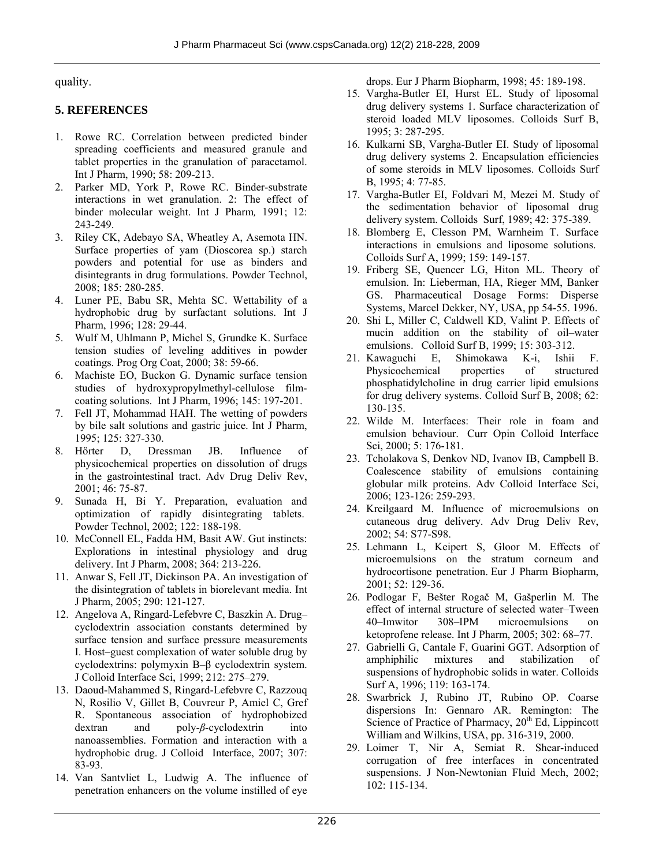quality.

#### **5. REFERENCES**

- 1. Rowe RC. Correlation between predicted binder spreading coefficients and measured granule and tablet properties in the granulation of paracetamol. Int J Pharm, 1990; 58: 209-213.
- 2. Parker MD, York P, Rowe RC. Binder-substrate interactions in wet granulation. 2: The effect of binder molecular weight. Int J Pharm*,* 1991; 12: 243-249.
- 3. Riley CK, Adebayo SA, Wheatley A, Asemota HN. Surface properties of yam (Dioscorea sp.) starch powders and potential for use as binders and disintegrants in drug formulations. Powder Technol, 2008; 185: 280-285.
- 4. Luner PE, Babu SR, Mehta SC. Wettability of a hydrophobic drug by surfactant solutions. Int J Pharm, 1996; 128: 29-44.
- 5. Wulf M, Uhlmann P, Michel S, Grundke K. Surface tension studies of leveling additives in powder coatings. Prog Org Coat, 2000; 38: 59-66.
- 6. Machiste EO, Buckon G. Dynamic surface tension studies of hydroxypropylmethyl-cellulose filmcoating solutions. Int J Pharm, 1996; 145: 197-201.
- 7. Fell JT, Mohammad HAH. The wetting of powders by bile salt solutions and gastric juice. Int J Pharm, 1995; 125: 327-330.
- 8. Hörter D, Dressman JB. Influence of physicochemical properties on dissolution of drugs in the gastrointestinal tract. Adv Drug Deliv Rev, 2001; 46: 75-87.
- 9. Sunada H, Bi Y. Preparation, evaluation and optimization of rapidly disintegrating tablets. Powder Technol, 2002; 122: 188-198.
- 10. McConnell EL, Fadda HM, Basit AW. Gut instincts: Explorations in intestinal physiology and drug delivery. Int J Pharm, 2008; 364: 213-226.
- 11. Anwar S, Fell JT, Dickinson PA. An investigation of the disintegration of tablets in biorelevant media. Int J Pharm, 2005; 290: 121-127.
- 12. Angelova A, Ringard-Lefebvre C, Baszkin A. Drug– cyclodextrin association constants determined by surface tension and surface pressure measurements I. Host–guest complexation of water soluble drug by cyclodextrins: polymyxin B–β cyclodextrin system. J Colloid Interface Sci, 1999; 212: 275–279.
- 13. Daoud-Mahammed S, Ringard-Lefebvre C, Razzouq N, Rosilio V, Gillet B, Couvreur P, Amiel C, Gref R. Spontaneous association of hydrophobized dextran and poly-*β*-cyclodextrin into nanoassemblies. Formation and interaction with a hydrophobic drug. J Colloid Interface, 2007; 307: 83-93.
- 14. Van Santvliet L, Ludwig A. The influence of penetration enhancers on the volume instilled of eye

drops. Eur J Pharm Biopharm, 1998; 45: 189-198.

- 15. Vargha-Butler EI, Hurst EL. Study of liposomal drug delivery systems 1. Surface characterization of steroid loaded MLV liposomes. Colloids Surf B, 1995; 3: 287-295.
- 16. Kulkarni SB, Vargha-Butler EI. Study of liposomal drug delivery systems 2. Encapsulation efficiencies of some steroids in MLV liposomes. Colloids Surf B, 1995; 4: 77-85.
- 17. Vargha-Butler EI, Foldvari M, Mezei M. Study of the sedimentation behavior of liposomal drug delivery system. Colloids Surf, 1989; 42: 375-389.
- 18. Blomberg E, Clesson PM, Warnheim T. Surface interactions in emulsions and liposome solutions. Colloids Surf A, 1999; 159: 149-157.
- 19. Friberg SE, Quencer LG, Hiton ML. Theory of emulsion. In: Lieberman, HA, Rieger MM, Banker GS. Pharmaceutical Dosage Forms: Disperse Systems, Marcel Dekker, NY, USA, pp 54-55. 1996.
- 20. Shi L, Miller C, Caldwell KD, Valint P. Effects of mucin addition on the stability of oil–water emulsions. Colloid Surf B, 1999; 15: 303-312.
- 21. Kawaguchi E, Shimokawa K-i, Ishii F. Physicochemical properties of structured phosphatidylcholine in drug carrier lipid emulsions for drug delivery systems. Colloid Surf B, 2008; 62: 130-135.
- 22. Wilde M. Interfaces: Their role in foam and emulsion behaviour. Curr Opin Colloid Interface Sci, 2000; 5: 176-181.
- 23. Tcholakova S, Denkov ND, Ivanov IB, Campbell B. Coalescence stability of emulsions containing globular milk proteins. Adv Colloid Interface Sci, 2006; 123-126: 259-293.
- 24. Kreilgaard M. Influence of microemulsions on cutaneous drug delivery. Adv Drug Deliv Rev, 2002; 54: S77-S98.
- 25. Lehmann L, Keipert S, Gloor M. Effects of microemulsions on the stratum corneum and hydrocortisone penetration. Eur J Pharm Biopharm, 2001; 52: 129-36.
- 26. Podlogar F, Bešter Rogač M, Gašperlin M*.* The effect of internal structure of selected water–Tween 40–Imwitor 308–IPM microemulsions on ketoprofene release. Int J Pharm, 2005; 302: 68–77.
- 27. Gabrielli G, Cantale F, Guarini GGT. Adsorption of amphiphilic mixtures and stabilization of suspensions of hydrophobic solids in water. Colloids Surf A, 1996; 119: 163-174.
- 28. Swarbrick J, Rubino JT, Rubino OP. Coarse dispersions In: Gennaro AR. Remington: The Science of Practice of Pharmacy,  $20<sup>th</sup>$  Ed, Lippincott William and Wilkins, USA, pp. 316-319, 2000.
- 29. Loimer T, Nir A, Semiat R. Shear-induced corrugation of free interfaces in concentrated suspensions. J Non-Newtonian Fluid Mech, 2002; 102: 115-134.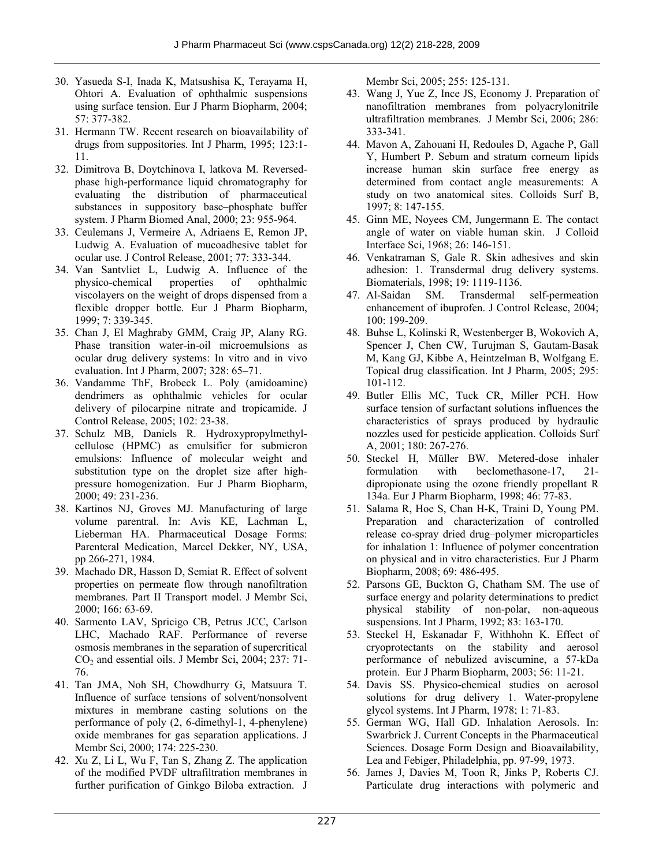- 30. Yasueda S-I, Inada K, Matsushisa K, Terayama H, Ohtori A. Evaluation of ophthalmic suspensions using surface tension. Eur J Pharm Biopharm, 2004; 57: 377-382.
- 31. Hermann TW. Recent research on bioavailability of drugs from suppositories. Int J Pharm, 1995; 123:1- 11.
- 32. Dimitrova B, Doytchinova I, latkova M. Reversedphase high-performance liquid chromatography for evaluating the distribution of pharmaceutical substances in suppository base–phosphate buffer system. J Pharm Biomed Anal, 2000; 23: 955-964.
- 33. Ceulemans J, Vermeire A, Adriaens E, Remon JP, Ludwig A. Evaluation of mucoadhesive tablet for ocular use. J Control Release, 2001; 77: 333-344.
- 34. Van Santvliet L, Ludwig A. Influence of the physico-chemical properties of ophthalmic viscolayers on the weight of drops dispensed from a flexible dropper bottle. Eur J Pharm Biopharm, 1999; 7: 339-345.
- 35. Chan J, El Maghraby GMM, Craig JP, Alany RG. Phase transition water-in-oil microemulsions as ocular drug delivery systems: In vitro and in vivo evaluation. Int J Pharm, 2007; 328: 65–71.
- 36. Vandamme ThF, Brobeck L. Poly (amidoamine) dendrimers as ophthalmic vehicles for ocular delivery of pilocarpine nitrate and tropicamide. J Control Release, 2005; 102: 23-38.
- 37. Schulz MB, Daniels R. Hydroxypropylmethylcellulose (HPMC) as emulsifier for submicron emulsions: Influence of molecular weight and substitution type on the droplet size after highpressure homogenization. Eur J Pharm Biopharm, 2000; 49: 231-236.
- 38. Kartinos NJ, Groves MJ. Manufacturing of large volume parentral. In: Avis KE, Lachman L, Lieberman HA. Pharmaceutical Dosage Forms: Parenteral Medication, Marcel Dekker, NY, USA, pp 266-271, 1984.
- 39. Machado DR, Hasson D, Semiat R. Effect of solvent properties on permeate flow through nanofiltration membranes. Part II Transport model. J Membr Sci, 2000; 166: 63-69.
- 40. Sarmento LAV, Spricigo CB, Petrus JCC, Carlson LHC, Machado RAF. Performance of reverse osmosis membranes in the separation of supercritical CO2 and essential oils. J Membr Sci, 2004; 237: 71- 76.
- 41. Tan JMA, Noh SH, Chowdhurry G, Matsuura T. Influence of surface tensions of solvent/nonsolvent mixtures in membrane casting solutions on the performance of poly (2, 6-dimethyl-1, 4-phenylene) oxide membranes for gas separation applications. J Membr Sci, 2000; 174: 225-230.
- 42. Xu Z, Li L, Wu F, Tan S, Zhang Z. The application of the modified PVDF ultrafiltration membranes in further purification of Ginkgo Biloba extraction. J

Membr Sci, 2005; 255: 125-131.

- 43. Wang J, Yue Z, Ince JS, Economy J. Preparation of nanofiltration membranes from polyacrylonitrile ultrafiltration membranes. J Membr Sci, 2006; 286: 333-341.
- 44. Mavon A, Zahouani H, Redoules D, Agache P, Gall Y, Humbert P. Sebum and stratum corneum lipids increase human skin surface free energy as determined from contact angle measurements: A study on two anatomical sites. Colloids Surf B, 1997; 8: 147-155.
- 45. Ginn ME, Noyees CM, Jungermann E. The contact angle of water on viable human skin. J Colloid Interface Sci, 1968; 26: 146-151.
- 46. Venkatraman S, Gale R. Skin adhesives and skin adhesion: 1. Transdermal drug delivery systems. Biomaterials, 1998; 19: 1119-1136.
- 47. Al-Saidan SM. Transdermal self-permeation enhancement of ibuprofen. J Control Release, 2004; 100: 199-209.
- 48. Buhse L, Kolinski R, Westenberger B, Wokovich A, Spencer J, Chen CW, Turujman S, Gautam-Basak M, Kang GJ, Kibbe A, Heintzelman B, Wolfgang E. Topical drug classification. Int J Pharm, 2005; 295: 101-112.
- 49. Butler Ellis MC, Tuck CR, Miller PCH. How surface tension of surfactant solutions influences the characteristics of sprays produced by hydraulic nozzles used for pesticide application. Colloids Surf A, 2001; 180: 267-276.
- 50. Steckel H, Müller BW. Metered-dose inhaler formulation with beclomethasone-17, 21 dipropionate using the ozone friendly propellant R 134a. Eur J Pharm Biopharm, 1998; 46: 77-83.
- 51. Salama R, Hoe S, Chan H-K, Traini D, Young PM. Preparation and characterization of controlled release co-spray dried drug–polymer microparticles for inhalation 1: Influence of polymer concentration on physical and in vitro characteristics. Eur J Pharm Biopharm, 2008; 69: 486-495.
- 52. Parsons GE, Buckton G, Chatham SM. The use of surface energy and polarity determinations to predict physical stability of non-polar, non-aqueous suspensions. Int J Pharm, 1992; 83: 163-170.
- 53. Steckel H, Eskanadar F, Withhohn K. Effect of cryoprotectants on the stability and aerosol performance of nebulized aviscumine, a 57-kDa protein. Eur J Pharm Biopharm, 2003; 56: 11-21.
- 54. Davis SS. Physico-chemical studies on aerosol solutions for drug delivery 1. Water-propylene glycol systems. Int J Pharm, 1978; 1: 71-83.
- 55. German WG, Hall GD. Inhalation Aerosols. In: Swarbrick J. Current Concepts in the Pharmaceutical Sciences. Dosage Form Design and Bioavailability, Lea and Febiger, Philadelphia, pp. 97-99, 1973.
- 56. James J, Davies M, Toon R, Jinks P, Roberts CJ. Particulate drug interactions with polymeric and